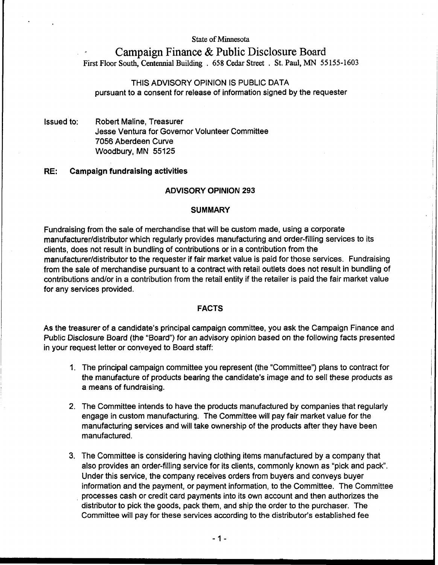**State of Minnesota** 

# **Campaign Finance** & **Public Disclosure Board First Floor South, Centennial Building** . 658 **Cedar Street** . **St. Paul, MN** 55 155-1603

# THIS ADVISORY OPINION IS PUBLIC DATA pursuant to a consent for release of information signed by the requester

Issued to: Robert Maline, Treasurer Jesse Ventura for Governor Volunteer Committee 7056 Aberdeen Curve Woodbury, MN 55125

# **RE: Campaign fundraising activities**

### **ADVISORY OPINION 293**

# **SUMMARY .** In the set of the set of the set of the set of the set of the set of the set of the set of the set

Fundraising from the sale of merchandise that will be custom made, using a corporate manufacturer/distributor which regularly provides manufacturing and order-filling services to its clients, does not result in bundling of contributions or in a contribution from the manufacturer/distributor to the requester if fair market value is paid for those services. Fundraising from the sale of merchandise pursuant to a contract with retail outlets does not result in bundling of contributions and/or in a contribution from the retail entity if the retailer is paid the fair market value for any services provided.

**FACTS** As the treasurer of a candidate's principal campaign committee, you ask the Campaign Finance and Public Disclosure Board (the "Board") for an advisory opinion based on the following facts presented in your request letter or conveyed to Board staff:

1. The principal campaign committee you represent (the "Committee") plans to contract for the manufacture of products bearing the candidate's image and to sell these products as a means of fundraising.

l

- 2. The Committee intends to have the products manufactured by companies that regularly engage in custom manufacturing. The Committee will pay fair market value for the manufacturing services and will take ownership of the products after they have been manufactured.
- 3. The Committee is considering having clothing items manufactured by a company that also provides an order-filling service for its clients, commonly known as "pick and pack. Under this service, the company receives orders from buyers and conveys buyer information and the payment, or payment information, to the Committee. The Committee processes cash or credit card payments into its own account and then authorizes the distributor to pick the goods, pack them, and ship the order to the purchaser. The Committee will pay for these services according to the distributor's established fee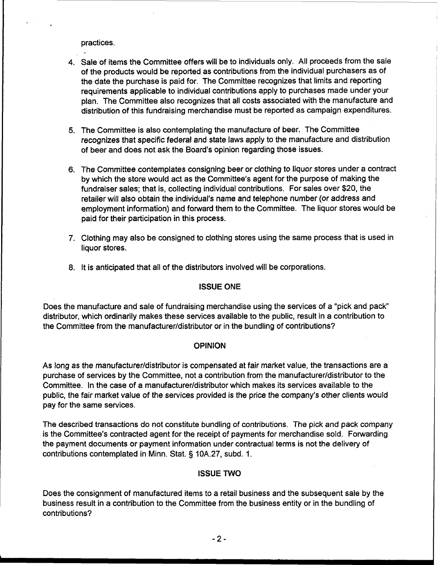practices.

- 4. Sale of items the Committee offers will be to individuals only. All proceeds from the sale of the products would be reported as contributions from the individual purchasers as of the date the purchase is paid for. The Committee recognizes that limits and reporting requirements applicable to individual contributions apply to purchases made under your plan. The Committee also recognizes that all costs associated with the manufacture and distribution of this fundraising merchandise must be reported as campaign expenditures.
- 5. The Committee is also contemplating the manufacture of beer. The Committee recognizes that specific federal and state laws apply to the manufacture and distribution of beer and does not ask the Board's opinion regarding those issues.
- 6. The Committee contemplates consigning beer or clothing to liquor stores under a contract by which the store would act as the Committee's agent for the purpose of making the fundraiser sales; that is, collecting individual contributions. For sales over \$20, the retailer will also obtain the individual's name and telephone number (or address and employment information) and forward them to the Committee. The liquor stores would be paid for their participation in this process.
- 7. Clothing may also be consigned to clothing stores using the same process that is used in liquor stores.
- 8. It is anticipated that all of the distributors involved will be corporations.

I **ISSUE ONE**  Does the manufacture and sale of fundraising merchandise using the services of a "pick and pack" distributor, which ordinarily makes these services available to the public, result in a contribution to the Committee from the **manufacturer/distributor** or in the bundling of contributions?

# **OPINION**

As long as the manufacturer/distributor is compensated at fair market value, the transactions are a purchase of services by the Committee, not a contribution from the **manufacturer/distributor** to the Committee. In the case of a **manufacturer/distributor** which makes its services available to the public, the fair market value of the services provided is the price the company's other clients would pay for the same services.

The described transactions do not constitute bundling of contributions. The pick and pack company is the Committee's contracted agent for the receipt of payments for merchandise sold. Forwarding the payment documents or payment information under contractual terms is not the delivery of contributions contemplated in Minn. Stat. § 10A.27, subd. 1.

# **ISSUE TWO**

Does the consignment of manufactured items to a retail business and the subsequent sale by the business result in a contribution to the Committee from the business entity or in the bundling of contributions?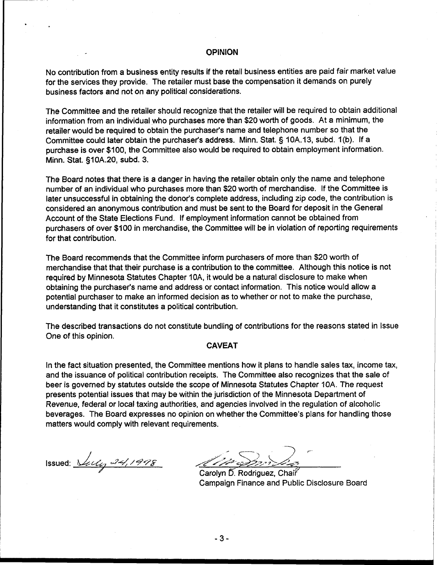## **OPINION**

No contribution from a business entity results if the retail business entities are paid fair market value for the services they provide. The retailer must base the compensation it demands on purely business factors and not on any political considerations.

The Committee and the retailer should recognize that the retailer will be required to obtain additional information from an individual who purchases more than \$20 worth of goods. At a minimum, the retailer would be required to obtain the purchaser's name and telephone number so that the Committee could later obtain the purchaser's address. Minn. Stat. § 10A.13, subd. 1(b). If a purchase is over \$100, the Committee also would be required to obtain employment information. Minn. Stat. §IOA.20, subd. 3.

The Board notes that there is a danger in having the retailer obtain only the name and telephone number of an individual who purchases more than \$20 worth of merchandise. If the Committee is later unsuccessful in obtaining the donor's complete address, including zip code, the contribution is considered an anonymous contribution and must be sent to the Board for deposit in the General Account of the State Elections Fund. If employment information cannot be obtained from purchasers of over \$100 in merchandise, the Committee will be in violation of reporting requirements for that contribution.

The Board recommends that the Committee inform purchasers of more than \$20 worth of merchandise that that their purchase is a contribution to the committee. Although this notice is not required by Minnesota Statutes Chapter IOA, it would be a natural disclosure to make when obtaining the purchaser's name and address or contact information. This notice would allow a potential purchaser to make an informed decision as to whether or not to make the purchase, understanding that it constitutes a political contribution.

The described transactions do not constitute bundling of contributions for the reasons stated in Issue One of this opinion.

# **CAVEAT**

In the fact situation presented, the Committee mentions how it plans to handle sales tax, income tax, and the issuance of political contribution receipts. The Committee also recognizes that the sale of beer is governed by statutes outside the scope of Minnesota Statutes Chapter 10A. The request presents potential issues that may be within the jurisdiction of the Minnesota Department of Revenue, federal or local taxing authorities, and agencies involved in the regulation of alcoholic beverages. The Board expresses no opinion on whether the Committee's plans for handling those matters would comply with relevant requirements.

Issued: *<u>decay 24,1998</u>* 

Carolyn D. Rodriguez, Chair Campaign Finance and Public Disclosure Board

 $-3-$